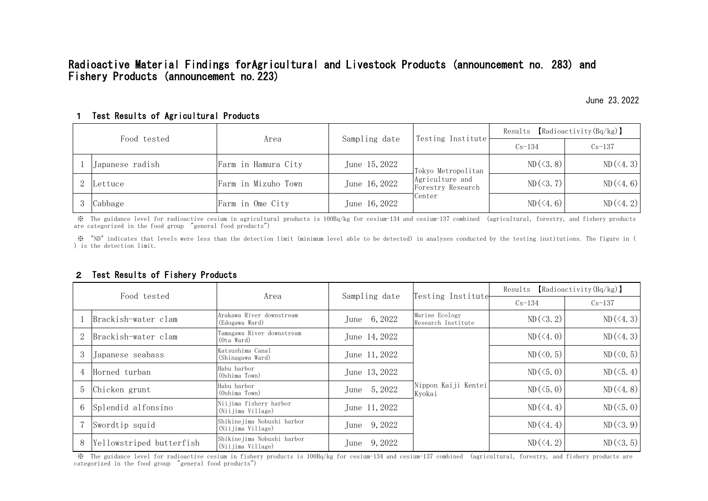## 1 Test Results of Agricultural Products

## 2 Test Results of Fishery Products

※ "ND" indicates that levels were less than the detection limit (minimum level able to be detected) in analyses conducted by the testing institutions. The figure in ( ) is the detection limit.

| Food tested |                 | Area                | Sampling date | Testing Institute                                                    | Results $[Radioactivity(Bq/kg)]$ |                |
|-------------|-----------------|---------------------|---------------|----------------------------------------------------------------------|----------------------------------|----------------|
|             |                 |                     |               |                                                                      | $Cs-134$                         | $Cs-137$       |
|             | Japanese radish | Farm in Hamura City | June 15, 2022 | Tokyo Metropolitan<br>Agriculture and<br>Forestry Research<br>Center | $ND(\leq 3.8)$                   | $ND(\leq 4.3)$ |
|             | 2 Lettuce       | Farm in Mizuho Town | June 16, 2022 |                                                                      | $ND (\leq 3.7)$                  | $ND(\leq 4.6)$ |
|             | 3 Cabbage       | Farm in Ome City    | June 16, 2022 |                                                                      | $ND(\leq 4.6)$                   | $ND(\le 4.2)$  |

| Food tested    |                          | Area                                            | Sampling date | Testing Institute                    | Results $[Radioactivity(Bq/kg)]$ |                   |
|----------------|--------------------------|-------------------------------------------------|---------------|--------------------------------------|----------------------------------|-------------------|
|                |                          |                                                 |               |                                      | $Cs-134$                         | $Cs-137$          |
|                | Brackish-water clam      | Arakawa River downstream<br>(Edogawa Ward)      | June 6, 2022  | Marine Ecology<br>Research Institute | $ND(\leq 3.2)$                   | $ND(\leq 4.3)$    |
| $\overline{2}$ | Brackish-water clam      | Tamagawa River downstream<br>(Ota Ward)         | June 14, 2022 | Nippon Kaiji Kentei<br>Kyokai        | $ND(\langle 4, 0)$               | $ND(\leq 4.3)$    |
| 3              | Japanese seabass         | Katsushima Canal<br>(Shinagawa Ward)            | June 11, 2022 |                                      | $ND (\le 0.5)$                   | $ND (\leq 0.5)$   |
| $\overline{4}$ | Horned turban            | Habu harbor<br>(Oshima Town)                    | June 13, 2022 |                                      | $ND (\le 5, 0)$                  | $ND(\leq 5.4)$    |
| 5              | Chicken grunt            | Habu harbor<br>(Oshima Town)                    | June 5, 2022  |                                      | $ND (\le 5, 0)$                  | $ND(\langle 4.8)$ |
|                | 6 Splendid alfonsino     | Niijima fishery harbor<br>(Niijima Village)     | June 11, 2022 |                                      | $ND(\leq 4.4)$                   | $ND (\le 5, 0)$   |
|                | Swordtip squid           | Shikinejima Nobushi harbor<br>(Niijima Village) | June 9, 2022  |                                      | $ND (\le 4.4)$                   | $ND(\langle 3.9)$ |
| 8              | Yellowstriped butterfish | Shikinejima Nobushi harbor<br>(Niijima Village) | June 9, 2022  |                                      | $ND(\le 4.2)$                    | $ND(\leq 3.5)$    |

 ※ The guidance level for radioactive cesium in fishery products is 100Bq/kg for cesium-134 and cesium-137 combined (agricultural, forestry, and fishery products are categorized in the food group "general food products")

 ※ The guidance level for radioactive cesium in agricultural products is 100Bq/kg for cesium-134 and cesium-137 combined (agricultural, forestry, and fishery products are categorized in the food group "general food products")

Radioactive Material Findings forAgricultural and Livestock Products (announcement no. 283) and Fishery Products (announcement no.223)

June 23,2022